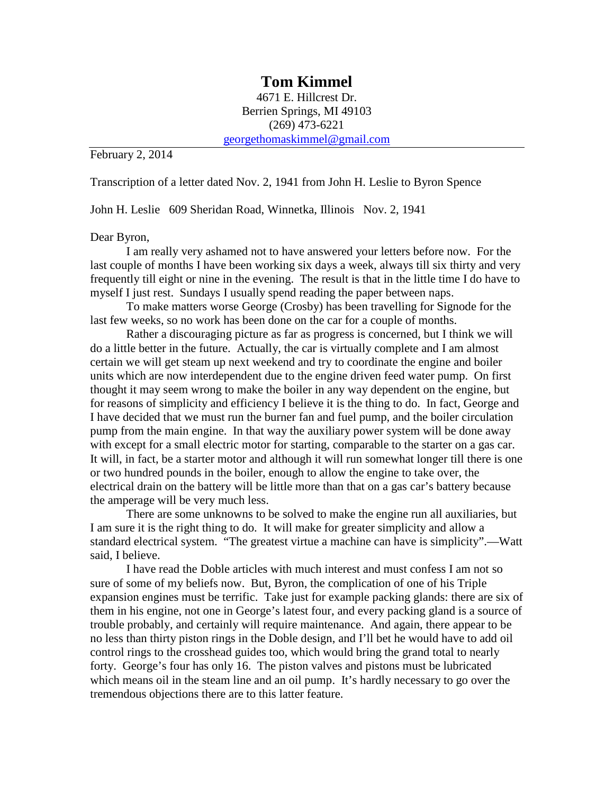## **Tom Kimmel**

4671 E. Hillcrest Dr. Berrien Springs, MI 49103 (269) 473-6221 [georgethomaskimmel@gmail.com](mailto:georgethomaskimmel@gmail.com)

February 2, 2014

Transcription of a letter dated Nov. 2, 1941 from John H. Leslie to Byron Spence

John H. Leslie 609 Sheridan Road, Winnetka, Illinois Nov. 2, 1941

## Dear Byron,

I am really very ashamed not to have answered your letters before now. For the last couple of months I have been working six days a week, always till six thirty and very frequently till eight or nine in the evening. The result is that in the little time I do have to myself I just rest. Sundays I usually spend reading the paper between naps.

To make matters worse George (Crosby) has been travelling for Signode for the last few weeks, so no work has been done on the car for a couple of months.

Rather a discouraging picture as far as progress is concerned, but I think we will do a little better in the future. Actually, the car is virtually complete and I am almost certain we will get steam up next weekend and try to coordinate the engine and boiler units which are now interdependent due to the engine driven feed water pump. On first thought it may seem wrong to make the boiler in any way dependent on the engine, but for reasons of simplicity and efficiency I believe it is the thing to do. In fact, George and I have decided that we must run the burner fan and fuel pump, and the boiler circulation pump from the main engine. In that way the auxiliary power system will be done away with except for a small electric motor for starting, comparable to the starter on a gas car. It will, in fact, be a starter motor and although it will run somewhat longer till there is one or two hundred pounds in the boiler, enough to allow the engine to take over, the electrical drain on the battery will be little more than that on a gas car's battery because the amperage will be very much less.

There are some unknowns to be solved to make the engine run all auxiliaries, but I am sure it is the right thing to do. It will make for greater simplicity and allow a standard electrical system. "The greatest virtue a machine can have is simplicity".—Watt said, I believe.

I have read the Doble articles with much interest and must confess I am not so sure of some of my beliefs now. But, Byron, the complication of one of his Triple expansion engines must be terrific. Take just for example packing glands: there are six of them in his engine, not one in George's latest four, and every packing gland is a source of trouble probably, and certainly will require maintenance. And again, there appear to be no less than thirty piston rings in the Doble design, and I'll bet he would have to add oil control rings to the crosshead guides too, which would bring the grand total to nearly forty. George's four has only 16. The piston valves and pistons must be lubricated which means oil in the steam line and an oil pump. It's hardly necessary to go over the tremendous objections there are to this latter feature.